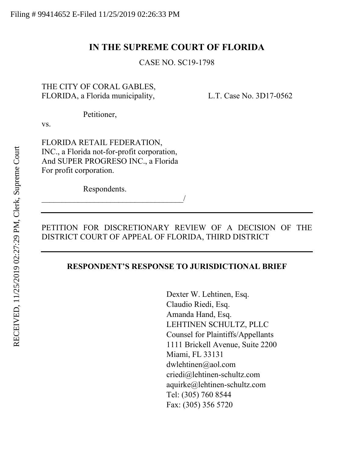## **IN THE SUPREME COURT OF FLORIDA**

CASE NO. SC19-1798

## THE CITY OF CORAL GABLES, FLORIDA, a Florida municipality, L.T. Case No. 3D17-0562

Petitioner,

vs.

FLORIDA RETAIL FEDERATION, INC., a Florida not-for-profit corporation, And SUPER PROGRESO INC., a Florida For profit corporation.

Respondents.

\_\_\_\_\_\_\_\_\_\_\_\_\_\_\_\_\_\_\_\_\_\_\_\_\_\_\_\_\_\_\_\_\_\_\_/

## PETITION FOR DISCRETIONARY REVIEW OF A DECISION OF THE DISTRICT COURT OF APPEAL OF FLORIDA, THIRD DISTRICT

### **RESPONDENT'S RESPONSE TO JURISDICTIONAL BRIEF**

Dexter W. Lehtinen, Esq. Claudio Riedi, Esq. Amanda Hand, Esq. LEHTINEN SCHULTZ, PLLC Counsel for Plaintiffs/Appellants 1111 Brickell Avenue, Suite 2200 Miami, FL 33131 dwlehtinen@aol.com criedi@lehtinen-schultz.com aquirke@lehtinen-schultz.com Tel: (305) 760 8544 Fax: (305) 356 5720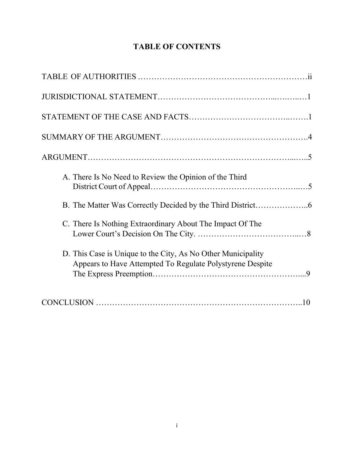# **TABLE OF CONTENTS**

| A. There Is No Need to Review the Opinion of the Third                                                                    |
|---------------------------------------------------------------------------------------------------------------------------|
|                                                                                                                           |
| C. There Is Nothing Extraordinary About The Impact Of The                                                                 |
| D. This Case is Unique to the City, As No Other Municipality<br>Appears to Have Attempted To Regulate Polystyrene Despite |
|                                                                                                                           |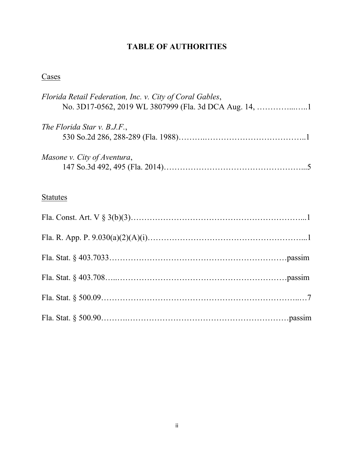# **TABLE OF AUTHORITIES**

# **Cases**

| Florida Retail Federation, Inc. v. City of Coral Gables,<br>No. 3D17-0562, 2019 WL 3807999 (Fla. 3d DCA Aug. 14, 1 |
|--------------------------------------------------------------------------------------------------------------------|
| The Florida Star v. B.J.F.,                                                                                        |
| Masone v. City of Aventura,                                                                                        |
| <b>Statutes</b>                                                                                                    |
|                                                                                                                    |
|                                                                                                                    |
|                                                                                                                    |
|                                                                                                                    |
|                                                                                                                    |
|                                                                                                                    |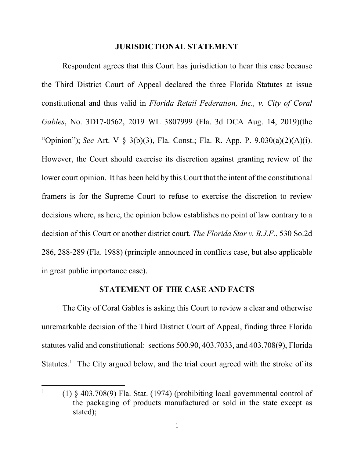#### **JURISDICTIONAL STATEMENT**

Respondent agrees that this Court has jurisdiction to hear this case because the Third District Court of Appeal declared the three Florida Statutes at issue constitutional and thus valid in *Florida Retail Federation, Inc., v. City of Coral Gables*, No. 3D17-0562, 2019 WL 3807999 (Fla. 3d DCA Aug. 14, 2019)(the "Opinion"); *See* Art. V § 3(b)(3), Fla. Const.; Fla. R. App. P. 9.030(a)(2)(A)(i). However, the Court should exercise its discretion against granting review of the lower court opinion. It has been held by this Court that the intent of the constitutional framers is for the Supreme Court to refuse to exercise the discretion to review decisions where, as here, the opinion below establishes no point of law contrary to a decision of this Court or another district court. *The Florida Star v. B.J.F.*, 530 So.2d 286, 288-289 (Fla. 1988) (principle announced in conflicts case, but also applicable in great public importance case).

#### **STATEMENT OF THE CASE AND FACTS**

The City of Coral Gables is asking this Court to review a clear and otherwise unremarkable decision of the Third District Court of Appeal, finding three Florida statutes valid and constitutional: sections 500.90, 403.7033, and 403.708(9), Florida Statutes.<sup>[1](#page-3-0)</sup> The City argued below, and the trial court agreed with the stroke of its

<span id="page-3-0"></span><sup>1</sup> (1) § 403.708(9) Fla. Stat. (1974) (prohibiting local governmental control of the packaging of products manufactured or sold in the state except as stated);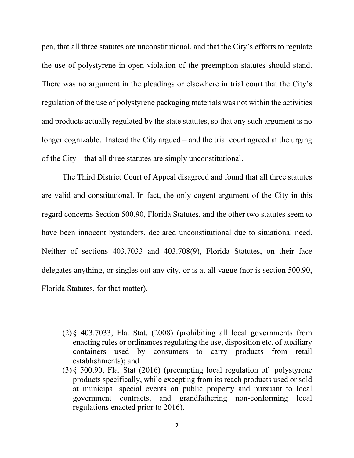pen, that all three statutes are unconstitutional, and that the City's efforts to regulate the use of polystyrene in open violation of the preemption statutes should stand. There was no argument in the pleadings or elsewhere in trial court that the City's regulation of the use of polystyrene packaging materials was not within the activities and products actually regulated by the state statutes, so that any such argument is no longer cognizable. Instead the City argued – and the trial court agreed at the urging of the City – that all three statutes are simply unconstitutional.

The Third District Court of Appeal disagreed and found that all three statutes are valid and constitutional. In fact, the only cogent argument of the City in this regard concerns Section 500.90, Florida Statutes, and the other two statutes seem to have been innocent bystanders, declared unconstitutional due to situational need. Neither of sections 403.7033 and 403.708(9), Florida Statutes, on their face delegates anything, or singles out any city, or is at all vague (nor is section 500.90, Florida Statutes, for that matter).

<sup>(2)§ 403.7033,</sup> Fla. Stat. (2008) (prohibiting all local governments from enacting rules or ordinances regulating the use, disposition etc. of auxiliary containers used by consumers to carry products from retail establishments); and

<sup>(3)§ 500.90,</sup> Fla. Stat (2016) (preempting local regulation of polystyrene products specifically, while excepting from its reach products used or sold at municipal special events on public property and pursuant to local government contracts, and grandfathering non-conforming local regulations enacted prior to 2016).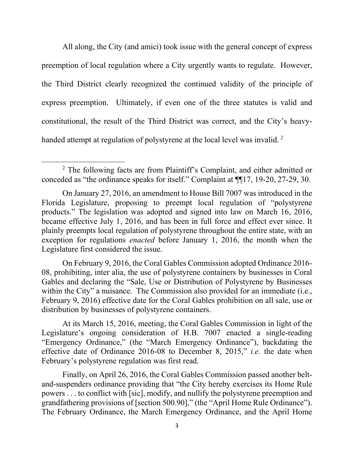All along, the City (and amici) took issue with the general concept of express preemption of local regulation where a City urgently wants to regulate. However, the Third District clearly recognized the continued validity of the principle of express preemption. Ultimately, if even one of the three statutes is valid and constitutional, the result of the Third District was correct, and the City's heavy-handed attempt at regulation of polystyrene at the local level was invalid.<sup>[2](#page-5-0)</sup>

On February 9, 2016, the Coral Gables Commission adopted Ordinance 2016- 08, prohibiting, inter alia, the use of polystyrene containers by businesses in Coral Gables and declaring the "Sale, Use or Distribution of Polystyrene by Businesses within the City" a nuisance. The Commission also provided for an immediate (i.e., February 9, 2016) effective date for the Coral Gables prohibition on all sale, use or distribution by businesses of polystyrene containers.

At its March 15, 2016, meeting, the Coral Gables Commission in light of the Legislature's ongoing consideration of H.B. 7007 enacted a single-reading "Emergency Ordinance," (the "March Emergency Ordinance"), backdating the effective date of Ordinance 2016-08 to December 8, 2015," *i.e.* the date when February's polystyrene regulation was first read.

Finally, on April 26, 2016, the Coral Gables Commission passed another beltand-suspenders ordinance providing that "the City hereby exercises its Home Rule powers . . . to conflict with [sic], modify, and nullify the polystyrene preemption and grandfathering provisions of [section 500.90]," (the "April Home Rule Ordinance"). The February Ordinance, the March Emergency Ordinance, and the April Home

<span id="page-5-0"></span><sup>2</sup> The following facts are from Plaintiff's Complaint, and either admitted or conceded as "the ordinance speaks for itself." Complaint at ¶¶17, 19-20, 27-29, 30.

On January 27, 2016, an amendment to House Bill 7007 was introduced in the Florida Legislature, proposing to preempt local regulation of "polystyrene products." The legislation was adopted and signed into law on March 16, 2016, became effective July 1, 2016, and has been in full force and effect ever since. It plainly preempts local regulation of polystyrene throughout the entire state, with an exception for regulations *enacted* before January 1, 2016, the month when the Legislature first considered the issue.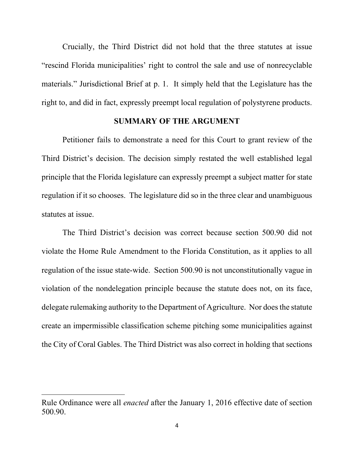Crucially, the Third District did not hold that the three statutes at issue "rescind Florida municipalities' right to control the sale and use of nonrecyclable materials." Jurisdictional Brief at p. 1. It simply held that the Legislature has the right to, and did in fact, expressly preempt local regulation of polystyrene products.

#### **SUMMARY OF THE ARGUMENT**

Petitioner fails to demonstrate a need for this Court to grant review of the Third District's decision. The decision simply restated the well established legal principle that the Florida legislature can expressly preempt a subject matter for state regulation if it so chooses. The legislature did so in the three clear and unambiguous statutes at issue.

The Third District's decision was correct because section 500.90 did not violate the Home Rule Amendment to the Florida Constitution, as it applies to all regulation of the issue state-wide. Section 500.90 is not unconstitutionally vague in violation of the nondelegation principle because the statute does not, on its face, delegate rulemaking authority to the Department of Agriculture. Nor does the statute create an impermissible classification scheme pitching some municipalities against the City of Coral Gables. The Third District was also correct in holding that sections

Rule Ordinance were all *enacted* after the January 1, 2016 effective date of section 500.90.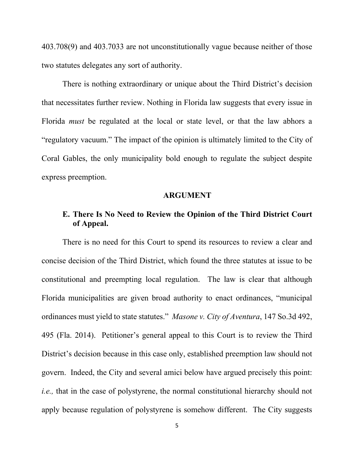403.708(9) and 403.7033 are not unconstitutionally vague because neither of those two statutes delegates any sort of authority.

There is nothing extraordinary or unique about the Third District's decision that necessitates further review. Nothing in Florida law suggests that every issue in Florida *must* be regulated at the local or state level, or that the law abhors a "regulatory vacuum." The impact of the opinion is ultimately limited to the City of Coral Gables, the only municipality bold enough to regulate the subject despite express preemption.

#### **ARGUMENT**

## **E. There Is No Need to Review the Opinion of the Third District Court of Appeal.**

There is no need for this Court to spend its resources to review a clear and concise decision of the Third District, which found the three statutes at issue to be constitutional and preempting local regulation. The law is clear that although Florida municipalities are given broad authority to enact ordinances, "municipal ordinances must yield to state statutes." *Masone v. City of Aventura*, 147 So.3d 492, 495 (Fla. 2014). Petitioner's general appeal to this Court is to review the Third District's decision because in this case only, established preemption law should not govern. Indeed, the City and several amici below have argued precisely this point: *i.e.,* that in the case of polystyrene, the normal constitutional hierarchy should not apply because regulation of polystyrene is somehow different. The City suggests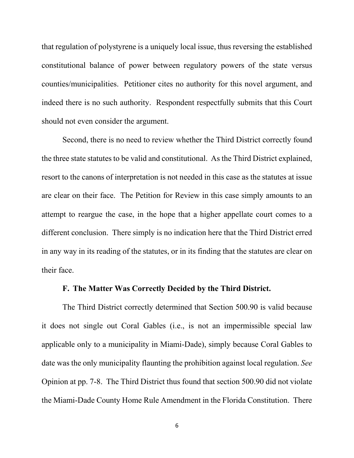that regulation of polystyrene is a uniquely local issue, thus reversing the established constitutional balance of power between regulatory powers of the state versus counties/municipalities. Petitioner cites no authority for this novel argument, and indeed there is no such authority. Respondent respectfully submits that this Court should not even consider the argument.

Second, there is no need to review whether the Third District correctly found the three state statutes to be valid and constitutional. As the Third District explained, resort to the canons of interpretation is not needed in this case as the statutes at issue are clear on their face. The Petition for Review in this case simply amounts to an attempt to reargue the case, in the hope that a higher appellate court comes to a different conclusion. There simply is no indication here that the Third District erred in any way in its reading of the statutes, or in its finding that the statutes are clear on their face.

### **F. The Matter Was Correctly Decided by the Third District.**

The Third District correctly determined that Section 500.90 is valid because it does not single out Coral Gables (i.e., is not an impermissible special law applicable only to a municipality in Miami-Dade), simply because Coral Gables to date was the only municipality flaunting the prohibition against local regulation. *See* Opinion at pp. 7-8. The Third District thus found that section 500.90 did not violate the Miami-Dade County Home Rule Amendment in the Florida Constitution. There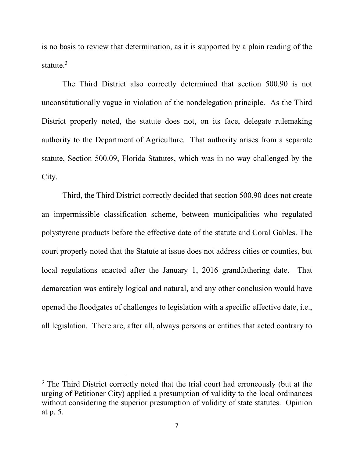is no basis to review that determination, as it is supported by a plain reading of the statute. $3$ 

The Third District also correctly determined that section 500.90 is not unconstitutionally vague in violation of the nondelegation principle. As the Third District properly noted, the statute does not, on its face, delegate rulemaking authority to the Department of Agriculture. That authority arises from a separate statute, Section 500.09, Florida Statutes, which was in no way challenged by the City.

Third, the Third District correctly decided that section 500.90 does not create an impermissible classification scheme, between municipalities who regulated polystyrene products before the effective date of the statute and Coral Gables. The court properly noted that the Statute at issue does not address cities or counties, but local regulations enacted after the January 1, 2016 grandfathering date. That demarcation was entirely logical and natural, and any other conclusion would have opened the floodgates of challenges to legislation with a specific effective date, i.e., all legislation. There are, after all, always persons or entities that acted contrary to

<span id="page-9-0"></span><sup>&</sup>lt;sup>3</sup> The Third District correctly noted that the trial court had erroneously (but at the urging of Petitioner City) applied a presumption of validity to the local ordinances without considering the superior presumption of validity of state statutes. Opinion at p. 5.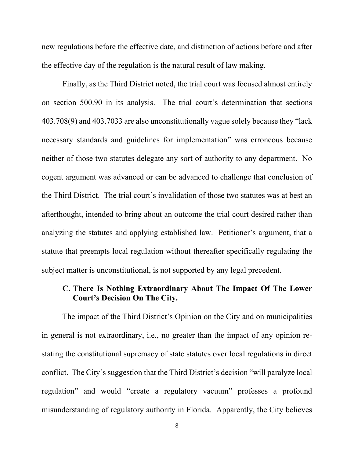new regulations before the effective date, and distinction of actions before and after the effective day of the regulation is the natural result of law making.

Finally, as the Third District noted, the trial court was focused almost entirely on section 500.90 in its analysis. The trial court's determination that sections 403.708(9) and 403.7033 are also unconstitutionally vague solely because they "lack necessary standards and guidelines for implementation" was erroneous because neither of those two statutes delegate any sort of authority to any department. No cogent argument was advanced or can be advanced to challenge that conclusion of the Third District. The trial court's invalidation of those two statutes was at best an afterthought, intended to bring about an outcome the trial court desired rather than analyzing the statutes and applying established law. Petitioner's argument, that a statute that preempts local regulation without thereafter specifically regulating the subject matter is unconstitutional, is not supported by any legal precedent.

## **C. There Is Nothing Extraordinary About The Impact Of The Lower Court's Decision On The City.**

The impact of the Third District's Opinion on the City and on municipalities in general is not extraordinary, i.e., no greater than the impact of any opinion restating the constitutional supremacy of state statutes over local regulations in direct conflict. The City's suggestion that the Third District's decision "will paralyze local regulation" and would "create a regulatory vacuum" professes a profound misunderstanding of regulatory authority in Florida. Apparently, the City believes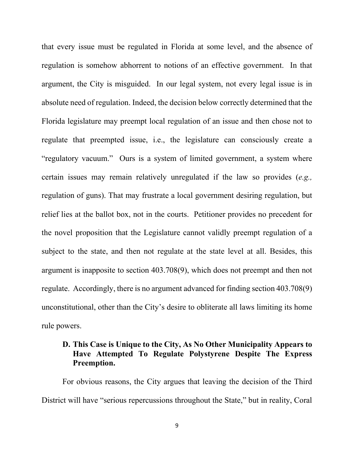that every issue must be regulated in Florida at some level, and the absence of regulation is somehow abhorrent to notions of an effective government. In that argument, the City is misguided. In our legal system, not every legal issue is in absolute need of regulation. Indeed, the decision below correctly determined that the Florida legislature may preempt local regulation of an issue and then chose not to regulate that preempted issue, i.e., the legislature can consciously create a "regulatory vacuum." Ours is a system of limited government, a system where certain issues may remain relatively unregulated if the law so provides (*e.g.,* regulation of guns). That may frustrate a local government desiring regulation, but relief lies at the ballot box, not in the courts. Petitioner provides no precedent for the novel proposition that the Legislature cannot validly preempt regulation of a subject to the state, and then not regulate at the state level at all. Besides, this argument is inapposite to section 403.708(9), which does not preempt and then not regulate. Accordingly, there is no argument advanced for finding section 403.708(9) unconstitutional, other than the City's desire to obliterate all laws limiting its home rule powers.

## **D. This Case is Unique to the City, As No Other Municipality Appears to Have Attempted To Regulate Polystyrene Despite The Express Preemption.**

For obvious reasons, the City argues that leaving the decision of the Third District will have "serious repercussions throughout the State," but in reality, Coral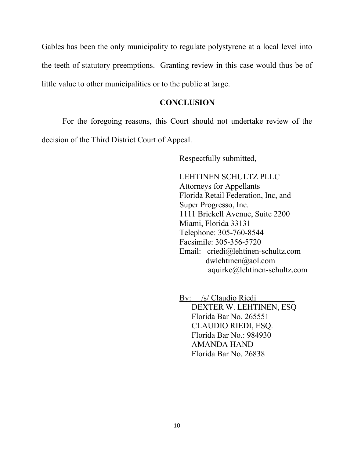Gables has been the only municipality to regulate polystyrene at a local level into the teeth of statutory preemptions. Granting review in this case would thus be of little value to other municipalities or to the public at large.

#### **CONCLUSION**

For the foregoing reasons, this Court should not undertake review of the decision of the Third District Court of Appeal.

Respectfully submitted,

LEHTINEN SCHULTZ PLLC Attorneys for Appellants Florida Retail Federation, Inc, and Super Progresso, Inc. 1111 Brickell Avenue, Suite 2200 Miami, Florida 33131 Telephone: 305-760-8544 Facsimile: 305-356-5720 Email: criedi@lehtinen-schultz.com dwlehtinen@aol.com aquirke@lehtinen-schultz.com

By: /s/ Claudio Riedi \_ DEXTER W. LEHTINEN, ESQ Florida Bar No. 265551 CLAUDIO RIEDI, ESQ. Florida Bar No.: 984930 AMANDA HAND Florida Bar No. 26838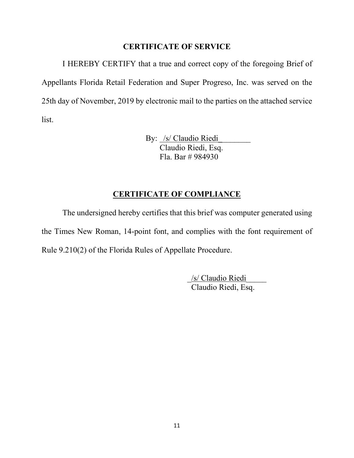#### **CERTIFICATE OF SERVICE**

I HEREBY CERTIFY that a true and correct copy of the foregoing Brief of Appellants Florida Retail Federation and Super Progreso, Inc. was served on the 25th day of November, 2019 by electronic mail to the parties on the attached service list.

> By: /s/ Claudio Riedi Claudio Riedi, Esq. Fla. Bar # 984930

## **CERTIFICATE OF COMPLIANCE**

The undersigned hereby certifies that this brief was computer generated using the Times New Roman, 14-point font, and complies with the font requirement of Rule 9.210(2) of the Florida Rules of Appellate Procedure.

> \_/s/ Claudio Riedi\_\_\_\_\_ Claudio Riedi, Esq.